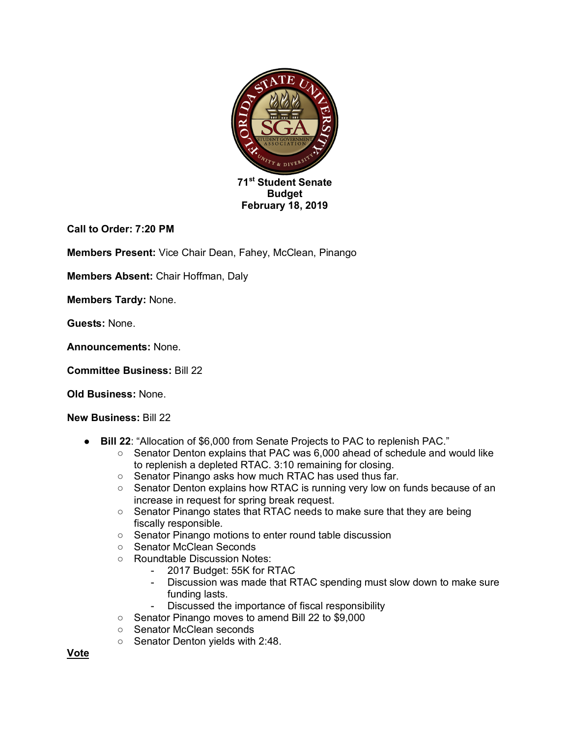

**Call to Order: 7:20 PM**

**Members Present:** Vice Chair Dean, Fahey, McClean, Pinango

**Members Absent:** Chair Hoffman, Daly

**Members Tardy:** None.

**Guests:** None.

**Announcements:** None.

**Committee Business:** Bill 22

**Old Business:** None.

**New Business:** Bill 22

- **Bill 22**: "Allocation of \$6,000 from Senate Projects to PAC to replenish PAC."
	- Senator Denton explains that PAC was 6,000 ahead of schedule and would like to replenish a depleted RTAC. 3:10 remaining for closing.
	- Senator Pinango asks how much RTAC has used thus far.
	- Senator Denton explains how RTAC is running very low on funds because of an increase in request for spring break request.
	- Senator Pinango states that RTAC needs to make sure that they are being fiscally responsible.
	- Senator Pinango motions to enter round table discussion
	- Senator McClean Seconds
	- Roundtable Discussion Notes:
		- 2017 Budget: 55K for RTAC
		- Discussion was made that RTAC spending must slow down to make sure funding lasts.
		- Discussed the importance of fiscal responsibility
	- Senator Pinango moves to amend Bill 22 to \$9,000
	- Senator McClean seconds
	- Senator Denton yields with 2:48.

**Vote**